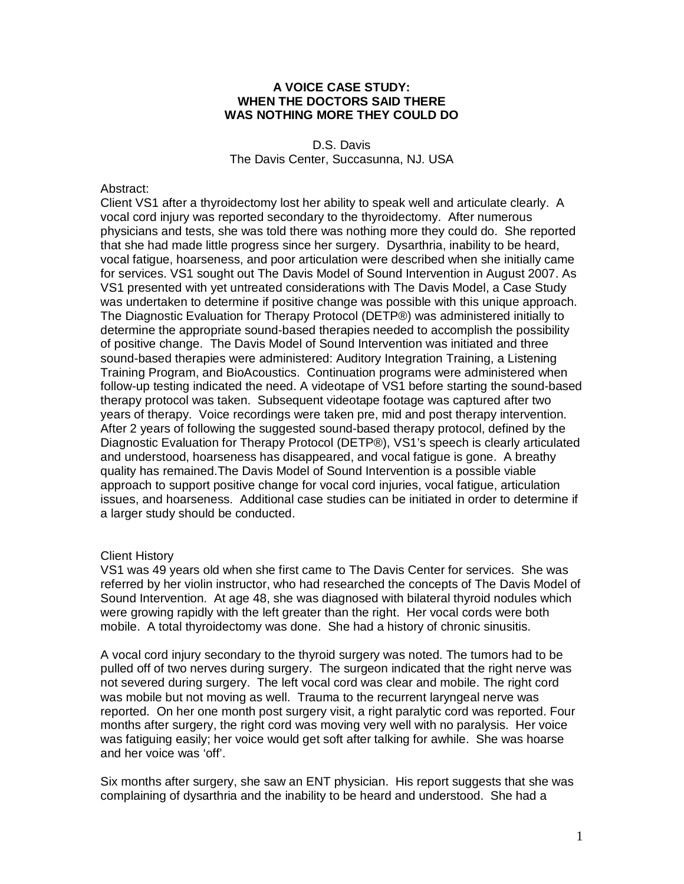# **A VOICE CASE STUDY: WHEN THE DOCTORS SAID THERE WAS NOTHING MORE THEY COULD DO**

D.S. Davis The Davis Center, Succasunna, NJ. USA

#### Abstract:

Client VS1 after a thyroidectomy lost her ability to speak well and articulate clearly. A vocal cord injury was reported secondary to the thyroidectomy. After numerous physicians and tests, she was told there was nothing more they could do. She reported that she had made little progress since her surgery. Dysarthria, inability to be heard, vocal fatigue, hoarseness, and poor articulation were described when she initially came for services. VS1 sought out The Davis Model of Sound Intervention in August 2007. As VS1 presented with yet untreated considerations with The Davis Model, a Case Study was undertaken to determine if positive change was possible with this unique approach. The Diagnostic Evaluation for Therapy Protocol (DETP®) was administered initially to determine the appropriate sound-based therapies needed to accomplish the possibility of positive change. The Davis Model of Sound Intervention was initiated and three sound-based therapies were administered: Auditory Integration Training, a Listening Training Program, and BioAcoustics. Continuation programs were administered when follow-up testing indicated the need. A videotape of VS1 before starting the sound-based therapy protocol was taken. Subsequent videotape footage was captured after two years of therapy. Voice recordings were taken pre, mid and post therapy intervention. After 2 years of following the suggested sound-based therapy protocol, defined by the Diagnostic Evaluation for Therapy Protocol (DETP®), VS1's speech is clearly articulated and understood, hoarseness has disappeared, and vocal fatigue is gone. A breathy quality has remained.The Davis Model of Sound Intervention is a possible viable approach to support positive change for vocal cord injuries, vocal fatigue, articulation issues, and hoarseness. Additional case studies can be initiated in order to determine if a larger study should be conducted.

### Client History

VS1 was 49 years old when she first came to The Davis Center for services. She was referred by her violin instructor, who had researched the concepts of The Davis Model of Sound Intervention. At age 48, she was diagnosed with bilateral thyroid nodules which were growing rapidly with the left greater than the right. Her vocal cords were both mobile. A total thyroidectomy was done. She had a history of chronic sinusitis.

A vocal cord injury secondary to the thyroid surgery was noted. The tumors had to be pulled off of two nerves during surgery. The surgeon indicated that the right nerve was not severed during surgery. The left vocal cord was clear and mobile. The right cord was mobile but not moving as well. Trauma to the recurrent laryngeal nerve was reported. On her one month post surgery visit, a right paralytic cord was reported. Four months after surgery, the right cord was moving very well with no paralysis. Her voice was fatiguing easily; her voice would get soft after talking for awhile. She was hoarse and her voice was 'off'.

Six months after surgery, she saw an ENT physician. His report suggests that she was complaining of dysarthria and the inability to be heard and understood. She had a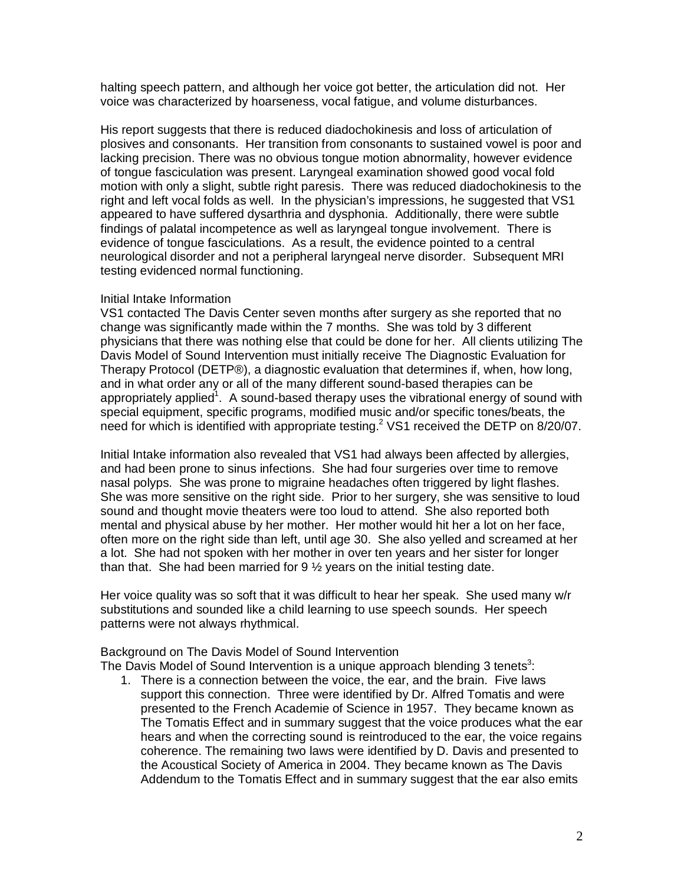halting speech pattern, and although her voice got better, the articulation did not. Her voice was characterized by hoarseness, vocal fatigue, and volume disturbances.

His report suggests that there is reduced diadochokinesis and loss of articulation of plosives and consonants. Her transition from consonants to sustained vowel is poor and lacking precision. There was no obvious tongue motion abnormality, however evidence of tongue fasciculation was present. Laryngeal examination showed good vocal fold motion with only a slight, subtle right paresis. There was reduced diadochokinesis to the right and left vocal folds as well. In the physician's impressions, he suggested that VS1 appeared to have suffered dysarthria and dysphonia. Additionally, there were subtle findings of palatal incompetence as well as laryngeal tongue involvement. There is evidence of tongue fasciculations. As a result, the evidence pointed to a central neurological disorder and not a peripheral laryngeal nerve disorder. Subsequent MRI testing evidenced normal functioning.

### Initial Intake Information

VS1 contacted The Davis Center seven months after surgery as she reported that no change was significantly made within the 7 months. She was told by 3 different physicians that there was nothing else that could be done for her. All clients utilizing The Davis Model of Sound Intervention must initially receive The Diagnostic Evaluation for Therapy Protocol (DETP®), a diagnostic evaluation that determines if, when, how long, and in what order any or all of the many different sound-based therapies can be appropriately applied<sup>1</sup>. A sound-based therapy uses the vibrational energy of sound with special equipment, specific programs, modified music and/or specific tones/beats, the need for which is identified with appropriate testing.<sup>2</sup> VS1 received the DETP on 8/20/07.

Initial Intake information also revealed that VS1 had always been affected by allergies, and had been prone to sinus infections. She had four surgeries over time to remove nasal polyps. She was prone to migraine headaches often triggered by light flashes. She was more sensitive on the right side. Prior to her surgery, she was sensitive to loud sound and thought movie theaters were too loud to attend. She also reported both mental and physical abuse by her mother. Her mother would hit her a lot on her face, often more on the right side than left, until age 30. She also yelled and screamed at her a lot. She had not spoken with her mother in over ten years and her sister for longer than that. She had been married for 9 ½ years on the initial testing date.

Her voice quality was so soft that it was difficult to hear her speak. She used many w/r substitutions and sounded like a child learning to use speech sounds. Her speech patterns were not always rhythmical.

### Background on The Davis Model of Sound Intervention

The Davis Model of Sound Intervention is a unique approach blending 3 tenets<sup>3</sup>:

1. There is a connection between the voice, the ear, and the brain. Five laws support this connection. Three were identified by Dr. Alfred Tomatis and were presented to the French Academie of Science in 1957. They became known as The Tomatis Effect and in summary suggest that the voice produces what the ear hears and when the correcting sound is reintroduced to the ear, the voice regains coherence. The remaining two laws were identified by D. Davis and presented to the Acoustical Society of America in 2004. They became known as The Davis Addendum to the Tomatis Effect and in summary suggest that the ear also emits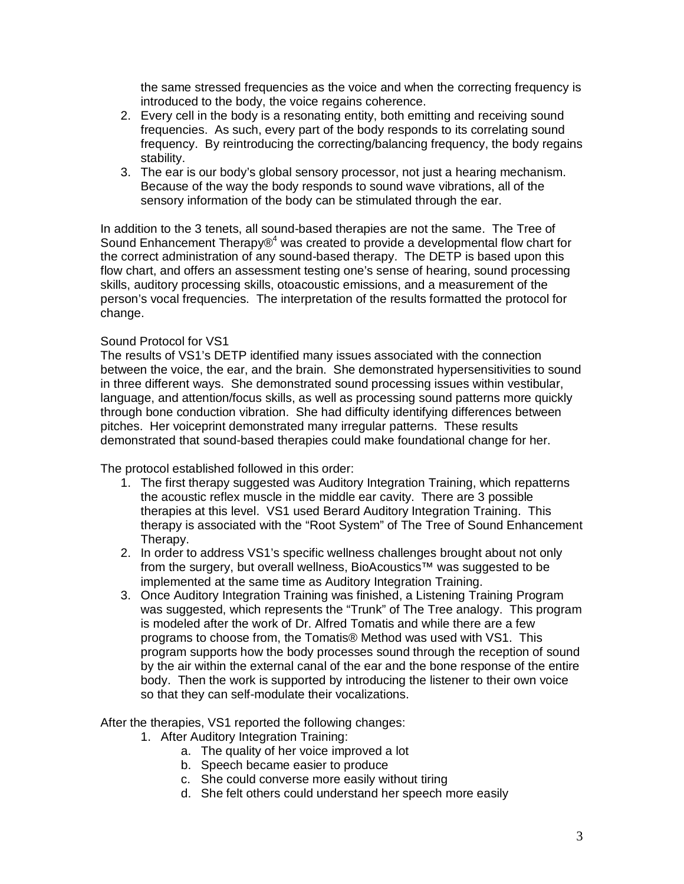the same stressed frequencies as the voice and when the correcting frequency is introduced to the body, the voice regains coherence.

- 2. Every cell in the body is a resonating entity, both emitting and receiving sound frequencies. As such, every part of the body responds to its correlating sound frequency. By reintroducing the correcting/balancing frequency, the body regains stability.
- 3. The ear is our body's global sensory processor, not just a hearing mechanism. Because of the way the body responds to sound wave vibrations, all of the sensory information of the body can be stimulated through the ear.

In addition to the 3 tenets, all sound-based therapies are not the same. The Tree of Sound Enhancement Therapy $\mathfrak{B}^4$  was created to provide a developmental flow chart for the correct administration of any sound-based therapy. The DETP is based upon this flow chart, and offers an assessment testing one's sense of hearing, sound processing skills, auditory processing skills, otoacoustic emissions, and a measurement of the person's vocal frequencies. The interpretation of the results formatted the protocol for change.

# Sound Protocol for VS1

The results of VS1's DETP identified many issues associated with the connection between the voice, the ear, and the brain. She demonstrated hypersensitivities to sound in three different ways. She demonstrated sound processing issues within vestibular, language, and attention/focus skills, as well as processing sound patterns more quickly through bone conduction vibration. She had difficulty identifying differences between pitches. Her voiceprint demonstrated many irregular patterns. These results demonstrated that sound-based therapies could make foundational change for her.

The protocol established followed in this order:

- 1. The first therapy suggested was Auditory Integration Training, which repatterns the acoustic reflex muscle in the middle ear cavity. There are 3 possible therapies at this level. VS1 used Berard Auditory Integration Training. This therapy is associated with the "Root System" of The Tree of Sound Enhancement Therapy.
- 2. In order to address VS1's specific wellness challenges brought about not only from the surgery, but overall wellness, BioAcoustics™ was suggested to be implemented at the same time as Auditory Integration Training.
- 3. Once Auditory Integration Training was finished, a Listening Training Program was suggested, which represents the "Trunk" of The Tree analogy. This program is modeled after the work of Dr. Alfred Tomatis and while there are a few programs to choose from, the Tomatis® Method was used with VS1. This program supports how the body processes sound through the reception of sound by the air within the external canal of the ear and the bone response of the entire body. Then the work is supported by introducing the listener to their own voice so that they can self-modulate their vocalizations.

After the therapies, VS1 reported the following changes:

- 1. After Auditory Integration Training:
	- a. The quality of her voice improved a lot
	- b. Speech became easier to produce
	- c. She could converse more easily without tiring
	- d. She felt others could understand her speech more easily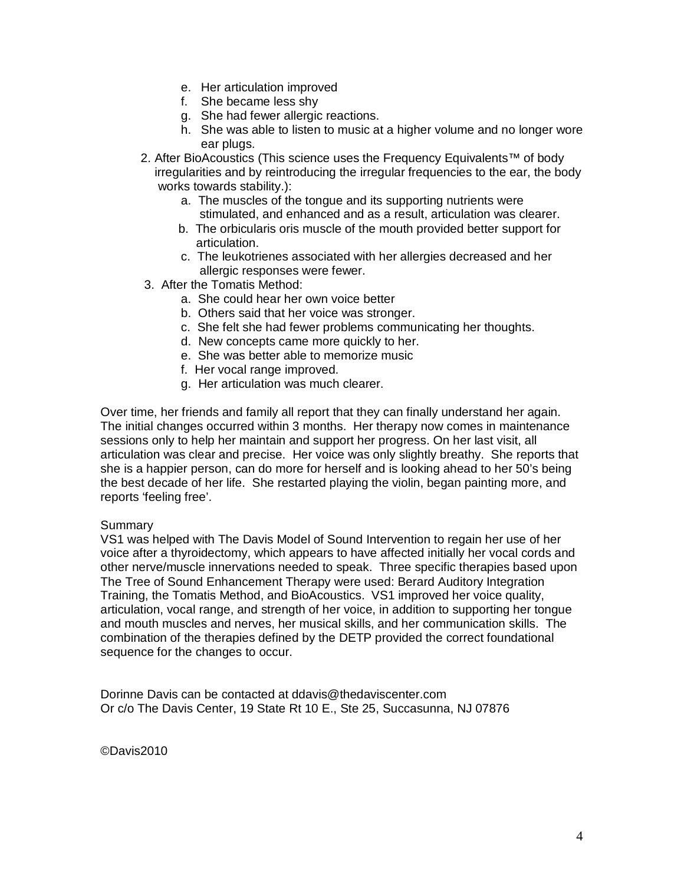- e. Her articulation improved
- f. She became less shy
- g. She had fewer allergic reactions.
- h. She was able to listen to music at a higher volume and no longer wore ear plugs.
- 2. After BioAcoustics (This science uses the Frequency Equivalents™ of body irregularities and by reintroducing the irregular frequencies to the ear, the body works towards stability.):
	- a. The muscles of the tongue and its supporting nutrients were stimulated, and enhanced and as a result, articulation was clearer.
	- b. The orbicularis oris muscle of the mouth provided better support for articulation.
	- c. The leukotrienes associated with her allergies decreased and her allergic responses were fewer.
- 3. After the Tomatis Method:
	- a. She could hear her own voice better
	- b. Others said that her voice was stronger.
	- c. She felt she had fewer problems communicating her thoughts.
	- d. New concepts came more quickly to her.
	- e. She was better able to memorize music
	- f. Her vocal range improved.
	- g. Her articulation was much clearer.

Over time, her friends and family all report that they can finally understand her again. The initial changes occurred within 3 months. Her therapy now comes in maintenance sessions only to help her maintain and support her progress. On her last visit, all articulation was clear and precise. Her voice was only slightly breathy. She reports that she is a happier person, can do more for herself and is looking ahead to her 50's being the best decade of her life. She restarted playing the violin, began painting more, and reports 'feeling free'.

### Summary

VS1 was helped with The Davis Model of Sound Intervention to regain her use of her voice after a thyroidectomy, which appears to have affected initially her vocal cords and other nerve/muscle innervations needed to speak. Three specific therapies based upon The Tree of Sound Enhancement Therapy were used: Berard Auditory Integration Training, the Tomatis Method, and BioAcoustics. VS1 improved her voice quality, articulation, vocal range, and strength of her voice, in addition to supporting her tongue and mouth muscles and nerves, her musical skills, and her communication skills. The combination of the therapies defined by the DETP provided the correct foundational sequence for the changes to occur.

Dorinne Davis can be contacted at ddavis@thedaviscenter.com Or c/o The Davis Center, 19 State Rt 10 E., Ste 25, Succasunna, NJ 07876

©Davis2010